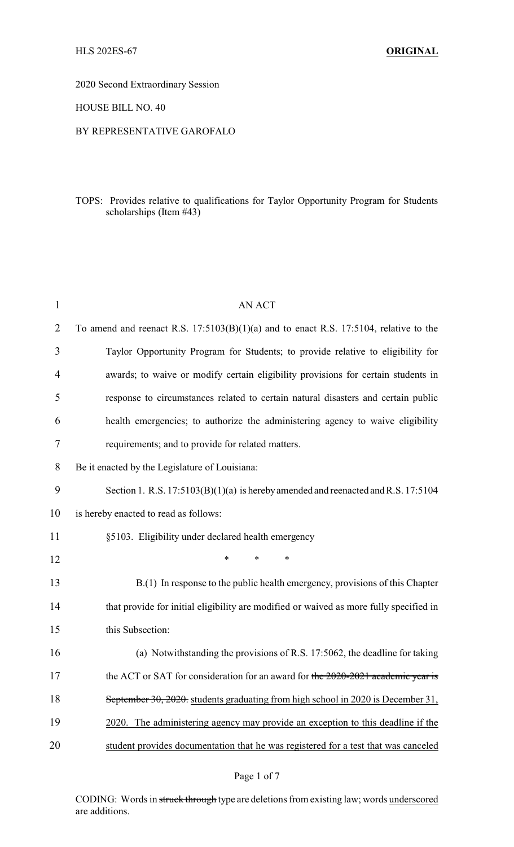2020 Second Extraordinary Session

HOUSE BILL NO. 40

#### BY REPRESENTATIVE GAROFALO

# TOPS: Provides relative to qualifications for Taylor Opportunity Program for Students scholarships (Item #43)

| $\mathbf{1}$   | <b>AN ACT</b>                                                                           |
|----------------|-----------------------------------------------------------------------------------------|
| $\overline{2}$ | To amend and reenact R.S. $17:5103(B)(1)(a)$ and to enact R.S. 17:5104, relative to the |
| 3              | Taylor Opportunity Program for Students; to provide relative to eligibility for         |
| $\overline{4}$ | awards; to waive or modify certain eligibility provisions for certain students in       |
| 5              | response to circumstances related to certain natural disasters and certain public       |
| 6              | health emergencies; to authorize the administering agency to waive eligibility          |
| 7              | requirements; and to provide for related matters.                                       |
| 8              | Be it enacted by the Legislature of Louisiana:                                          |
| 9              | Section 1. R.S. $17:5103(B)(1)(a)$ is hereby amended and reenacted and R.S. $17:5104$   |
| 10             | is hereby enacted to read as follows:                                                   |
| 11             | §5103. Eligibility under declared health emergency                                      |
| 12             | $\ast$<br>$\ast$<br>*                                                                   |
| 13             | B.(1) In response to the public health emergency, provisions of this Chapter            |
| 14             | that provide for initial eligibility are modified or waived as more fully specified in  |
| 15             | this Subsection:                                                                        |
| 16             | (a) Notwithstanding the provisions of R.S. 17:5062, the deadline for taking             |
| 17             | the ACT or SAT for consideration for an award for the 2020-2021 academic year is        |
| 18             | September 30, 2020. students graduating from high school in 2020 is December 31,        |
| 19             | 2020. The administering agency may provide an exception to this deadline if the         |
| 20             | student provides documentation that he was registered for a test that was canceled      |

CODING: Words in struck through type are deletions from existing law; words underscored are additions.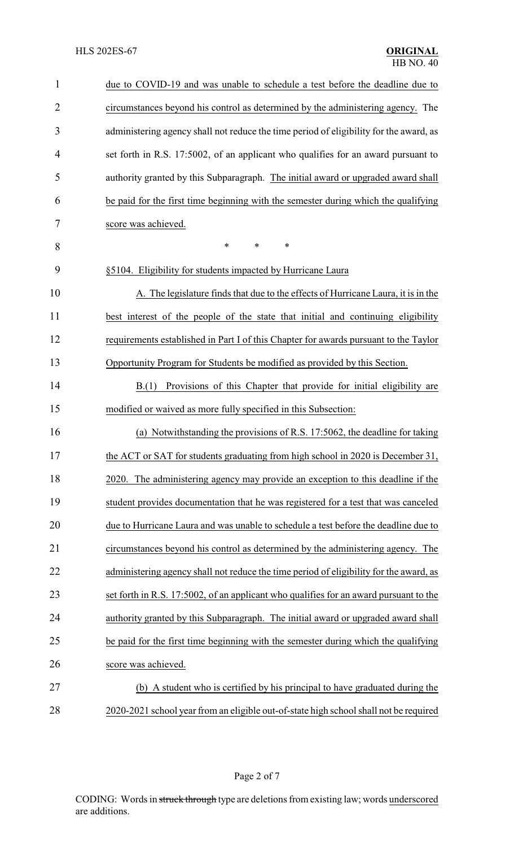| $\mathbf{1}$   | due to COVID-19 and was unable to schedule a test before the deadline due to           |
|----------------|----------------------------------------------------------------------------------------|
| $\overline{2}$ | circumstances beyond his control as determined by the administering agency. The        |
| 3              | administering agency shall not reduce the time period of eligibility for the award, as |
| 4              | set forth in R.S. 17:5002, of an applicant who qualifies for an award pursuant to      |
| 5              | authority granted by this Subparagraph. The initial award or upgraded award shall      |
| 6              | be paid for the first time beginning with the semester during which the qualifying     |
| 7              | score was achieved.                                                                    |
| 8              | $\ast$<br>*<br>*                                                                       |
| 9              | §5104. Eligibility for students impacted by Hurricane Laura                            |
| 10             | A. The legislature finds that due to the effects of Hurricane Laura, it is in the      |
| 11             | best interest of the people of the state that initial and continuing eligibility       |
| 12             | requirements established in Part I of this Chapter for awards pursuant to the Taylor   |
| 13             | Opportunity Program for Students be modified as provided by this Section.              |
| 14             | Provisions of this Chapter that provide for initial eligibility are<br>B(1)            |
| 15             | modified or waived as more fully specified in this Subsection:                         |
| 16             | (a) Notwithstanding the provisions of R.S. 17:5062, the deadline for taking            |
| 17             | the ACT or SAT for students graduating from high school in 2020 is December 31,        |
| 18             | 2020. The administering agency may provide an exception to this deadline if the        |
| 19             | student provides documentation that he was registered for a test that was canceled     |
| 20             | due to Hurricane Laura and was unable to schedule a test before the deadline due to    |
| 21             | circumstances beyond his control as determined by the administering agency. The        |
| 22             | administering agency shall not reduce the time period of eligibility for the award, as |
| 23             | set forth in R.S. 17:5002, of an applicant who qualifies for an award pursuant to the  |
| 24             | authority granted by this Subparagraph. The initial award or upgraded award shall      |
| 25             | be paid for the first time beginning with the semester during which the qualifying     |
| 26             | score was achieved.                                                                    |
| 27             | (b) A student who is certified by his principal to have graduated during the           |
| 28             | 2020-2021 school year from an eligible out-of-state high school shall not be required  |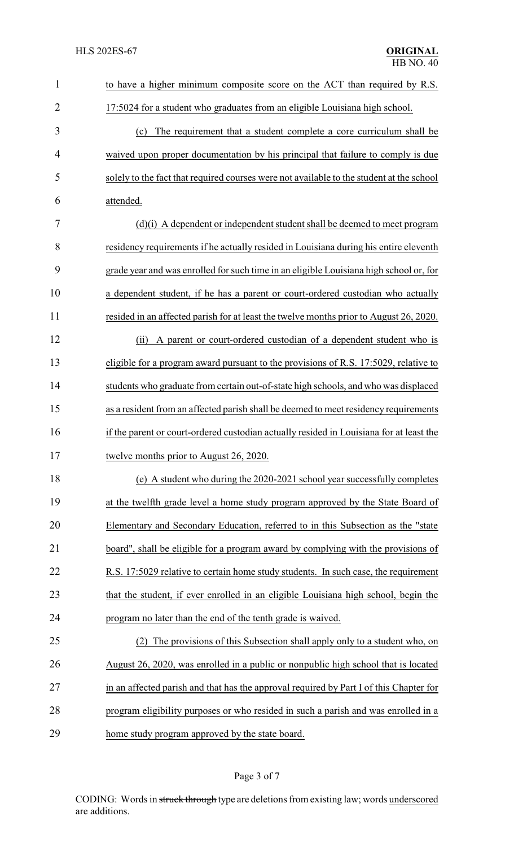| $\mathbf{1}$   | to have a higher minimum composite score on the ACT than required by R.S.                |
|----------------|------------------------------------------------------------------------------------------|
| $\overline{2}$ | 17:5024 for a student who graduates from an eligible Louisiana high school.              |
| 3              | The requirement that a student complete a core curriculum shall be<br>(c)                |
| 4              | waived upon proper documentation by his principal that failure to comply is due          |
| 5              | solely to the fact that required courses were not available to the student at the school |
| 6              | attended.                                                                                |
| 7              | $(d)(i)$ A dependent or independent student shall be deemed to meet program              |
| 8              | residency requirements if he actually resided in Louisiana during his entire eleventh    |
| 9              | grade year and was enrolled for such time in an eligible Louisiana high school or, for   |
| 10             | a dependent student, if he has a parent or court-ordered custodian who actually          |
| 11             | resided in an affected parish for at least the twelve months prior to August 26, 2020.   |
| 12             | A parent or court-ordered custodian of a dependent student who is<br>(ii)                |
| 13             | eligible for a program award pursuant to the provisions of R.S. 17:5029, relative to     |
| 14             | students who graduate from certain out-of-state high schools, and who was displaced      |
| 15             | as a resident from an affected parish shall be deemed to meet residency requirements     |
| 16             | if the parent or court-ordered custodian actually resided in Louisiana for at least the  |
| 17             | twelve months prior to August 26, 2020.                                                  |
| 18             | (e) A student who during the 2020-2021 school year successfully completes                |
| 19             | at the twelfth grade level a home study program approved by the State Board of           |
| 20             | Elementary and Secondary Education, referred to in this Subsection as the "state         |
| 21             | board", shall be eligible for a program award by complying with the provisions of        |
| 22             | R.S. 17:5029 relative to certain home study students. In such case, the requirement      |
| 23             | that the student, if ever enrolled in an eligible Louisiana high school, begin the       |
| 24             | program no later than the end of the tenth grade is waived.                              |
| 25             | (2) The provisions of this Subsection shall apply only to a student who, on              |
| 26             | August 26, 2020, was enrolled in a public or nonpublic high school that is located       |
| 27             | in an affected parish and that has the approval required by Part I of this Chapter for   |
| 28             | program eligibility purposes or who resided in such a parish and was enrolled in a       |
| 29             | home study program approved by the state board.                                          |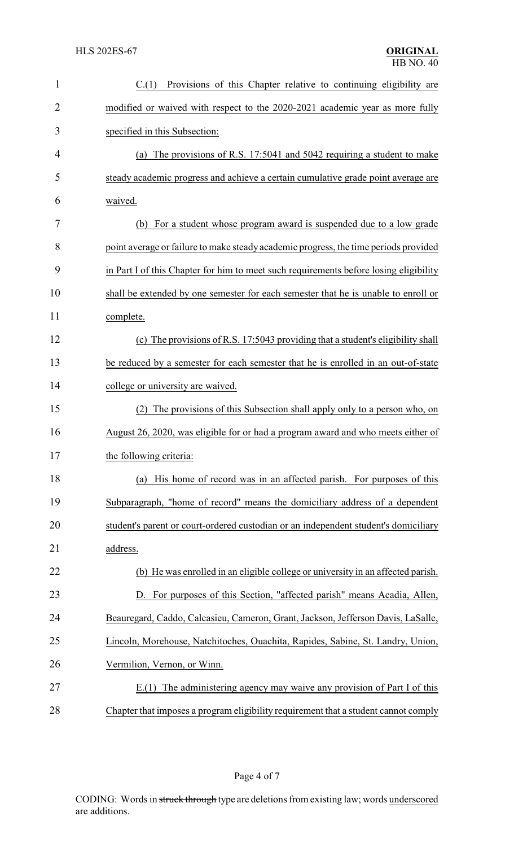| $\mathbf{1}$   | Provisions of this Chapter relative to continuing eligibility are<br>C.(1)            |
|----------------|---------------------------------------------------------------------------------------|
| $\overline{2}$ | modified or waived with respect to the 2020-2021 academic year as more fully          |
| 3              | specified in this Subsection:                                                         |
| 4              | (a) The provisions of R.S. 17:5041 and 5042 requiring a student to make               |
| 5              | steady academic progress and achieve a certain cumulative grade point average are     |
| 6              | waived.                                                                               |
| 7              | (b) For a student whose program award is suspended due to a low grade                 |
| 8              | point average or failure to make steady academic progress, the time periods provided  |
| 9              | in Part I of this Chapter for him to meet such requirements before losing eligibility |
| 10             | shall be extended by one semester for each semester that he is unable to enroll or    |
| 11             | complete.                                                                             |
| 12             | (c) The provisions of R.S. 17:5043 providing that a student's eligibility shall       |
| 13             | be reduced by a semester for each semester that he is enrolled in an out-of-state     |
| 14             | college or university are waived.                                                     |
| 15             | The provisions of this Subsection shall apply only to a person who, on<br>(2)         |
| 16             | August 26, 2020, was eligible for or had a program award and who meets either of      |
| 17             | the following criteria:                                                               |
| 18             | (a) His home of record was in an affected parish. For purposes of this                |
| 19             | Subparagraph, "home of record" means the domiciliary address of a dependent           |
| 20             | student's parent or court-ordered custodian or an independent student's domiciliary   |
| 21             | address.                                                                              |
| 22             | (b) He was enrolled in an eligible college or university in an affected parish.       |
| 23             | D. For purposes of this Section, "affected parish" means Acadia, Allen,               |
| 24             | Beauregard, Caddo, Calcasieu, Cameron, Grant, Jackson, Jefferson Davis, LaSalle,      |
| 25             | Lincoln, Morehouse, Natchitoches, Ouachita, Rapides, Sabine, St. Landry, Union,       |
| 26             | Vermilion, Vernon, or Winn.                                                           |
| 27             | E.(1) The administering agency may waive any provision of Part I of this              |
| 28             | Chapter that imposes a program eligibility requirement that a student cannot comply   |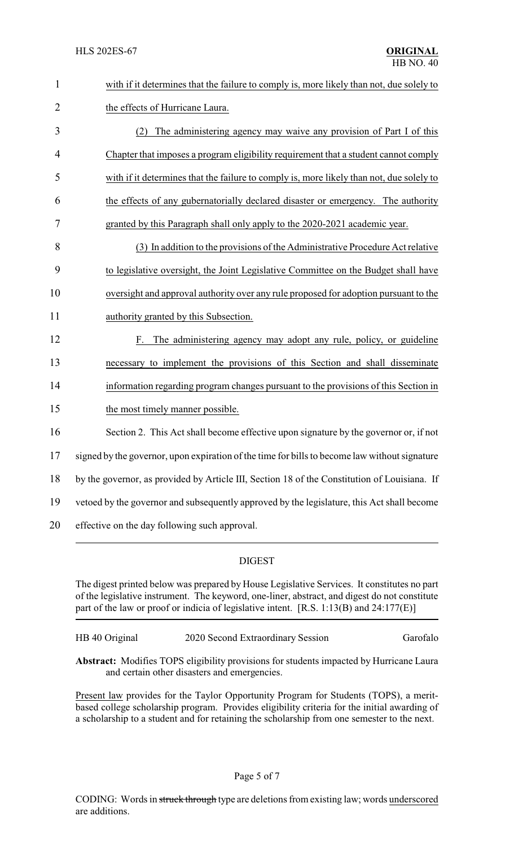| $\mathbf{1}$   | with if it determines that the failure to comply is, more likely than not, due solely to      |
|----------------|-----------------------------------------------------------------------------------------------|
| $\overline{2}$ | the effects of Hurricane Laura.                                                               |
| 3              | The administering agency may waive any provision of Part I of this<br>(2)                     |
| 4              | Chapter that imposes a program eligibility requirement that a student cannot comply           |
| 5              | with if it determines that the failure to comply is, more likely than not, due solely to      |
| 6              | the effects of any gubernatorially declared disaster or emergency. The authority              |
| $\tau$         | granted by this Paragraph shall only apply to the 2020-2021 academic year.                    |
| 8              | (3) In addition to the provisions of the Administrative Procedure Act relative                |
| 9              | to legislative oversight, the Joint Legislative Committee on the Budget shall have            |
| 10             | oversight and approval authority over any rule proposed for adoption pursuant to the          |
| 11             | authority granted by this Subsection.                                                         |
| 12             | The administering agency may adopt any rule, policy, or guideline<br>F.                       |
| 13             | necessary to implement the provisions of this Section and shall disseminate                   |
| 14             | information regarding program changes pursuant to the provisions of this Section in           |
| 15             | the most timely manner possible.                                                              |
| 16             | Section 2. This Act shall become effective upon signature by the governor or, if not          |
| 17             | signed by the governor, upon expiration of the time for bills to become law without signature |
| 18             | by the governor, as provided by Article III, Section 18 of the Constitution of Louisiana. If  |
| 19             | vetoed by the governor and subsequently approved by the legislature, this Act shall become    |
| 20             | effective on the day following such approval.                                                 |

# DIGEST

The digest printed below was prepared by House Legislative Services. It constitutes no part of the legislative instrument. The keyword, one-liner, abstract, and digest do not constitute part of the law or proof or indicia of legislative intent. [R.S. 1:13(B) and 24:177(E)]

HB 40 Original 2020 Second Extraordinary Session Garofalo

**Abstract:** Modifies TOPS eligibility provisions for students impacted by Hurricane Laura and certain other disasters and emergencies.

Present law provides for the Taylor Opportunity Program for Students (TOPS), a meritbased college scholarship program. Provides eligibility criteria for the initial awarding of a scholarship to a student and for retaining the scholarship from one semester to the next.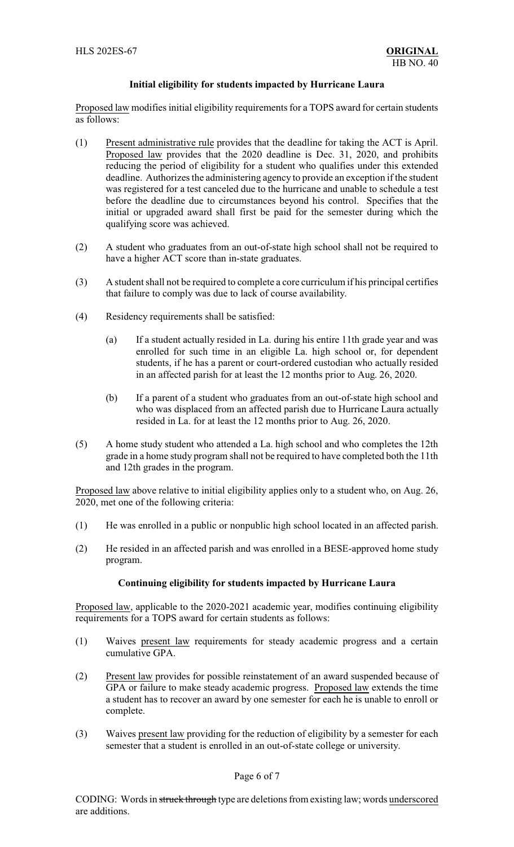#### **Initial eligibility for students impacted by Hurricane Laura**

Proposed law modifies initial eligibility requirements for a TOPS award for certain students as follows:

- (1) Present administrative rule provides that the deadline for taking the ACT is April. Proposed law provides that the 2020 deadline is Dec. 31, 2020, and prohibits reducing the period of eligibility for a student who qualifies under this extended deadline. Authorizes the administering agency to provide an exception if the student was registered for a test canceled due to the hurricane and unable to schedule a test before the deadline due to circumstances beyond his control. Specifies that the initial or upgraded award shall first be paid for the semester during which the qualifying score was achieved.
- (2) A student who graduates from an out-of-state high school shall not be required to have a higher ACT score than in-state graduates.
- (3) A student shall not be required to complete a core curriculum if his principal certifies that failure to comply was due to lack of course availability.
- (4) Residency requirements shall be satisfied:
	- (a) If a student actually resided in La. during his entire 11th grade year and was enrolled for such time in an eligible La. high school or, for dependent students, if he has a parent or court-ordered custodian who actually resided in an affected parish for at least the 12 months prior to Aug. 26, 2020.
	- (b) If a parent of a student who graduates from an out-of-state high school and who was displaced from an affected parish due to Hurricane Laura actually resided in La. for at least the 12 months prior to Aug. 26, 2020.
- (5) A home study student who attended a La. high school and who completes the 12th grade in a home study program shall not be required to have completed both the 11th and 12th grades in the program.

Proposed law above relative to initial eligibility applies only to a student who, on Aug. 26, 2020, met one of the following criteria:

- (1) He was enrolled in a public or nonpublic high school located in an affected parish.
- (2) He resided in an affected parish and was enrolled in a BESE-approved home study program.

## **Continuing eligibility for students impacted by Hurricane Laura**

Proposed law, applicable to the 2020-2021 academic year, modifies continuing eligibility requirements for a TOPS award for certain students as follows:

- (1) Waives present law requirements for steady academic progress and a certain cumulative GPA.
- (2) Present law provides for possible reinstatement of an award suspended because of GPA or failure to make steady academic progress. Proposed law extends the time a student has to recover an award by one semester for each he is unable to enroll or complete.
- (3) Waives present law providing for the reduction of eligibility by a semester for each semester that a student is enrolled in an out-of-state college or university.

## Page 6 of 7